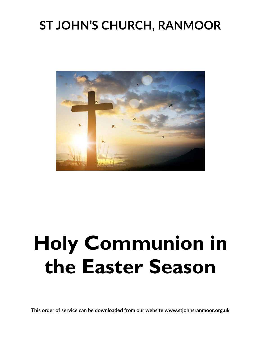## **ST JOHN'S CHURCH, RANMOOR**



# **Holy Communion in the Easter Season**

**This order of service can be downloaded from our website www.stjohnsranmoor.org.uk**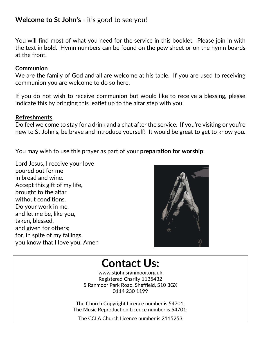#### **Welcome to St John's** - it's good to see you!

You will find most of what you need for the service in this booklet. Please join in with the text in **bold**. Hymn numbers can be found on the pew sheet or on the hymn boards at the front.

#### **Communion**

We are the family of God and all are welcome at his table. If you are used to receiving communion you are welcome to do so here.

If you do not wish to receive communion but would like to receive a blessing, please indicate this by bringing this leaflet up to the altar step with you.

#### **Refreshments**

Do feel welcome to stay for a drink and a chat after the service. If you're visiting or you're new to St John's, be brave and introduce yourself! It would be great to get to know you.

You may wish to use this prayer as part of your **preparation for worship**:

Lord Jesus, I receive your love poured out for me in bread and wine. Accept this gift of my life, brought to the altar without conditions. Do your work in me, and let me be, like you, taken, blessed, and given for others; for, in spite of my failings, you know that I love you. Amen



### **Contact Us:**

www.stjohnsranmoor.org.uk Registered Charity 1135432 5 Ranmoor Park Road, Sheffield, S10 3GX 0114 230 1199

The Church Copyright Licence number is 54701; The Music Reproduction Licence number is 54701;

The CCLA Church Licence number is 2115253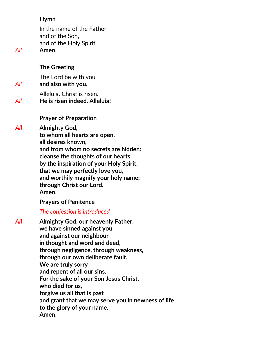#### **Hymn**

In the name of the Father, and of the Son, and of the Holy Spirit. *All* **Amen.**

#### **The Greeting**

The Lord be with you *All* **and also with you.**

Alleluia. Christ is risen. *All* **He is risen indeed. Alleluia!**

**Prayer of Preparation**

*All* **Almighty God,**

**to whom all hearts are open,**

**all desires known,**

**and from whom no secrets are hidden:**

**cleanse the thoughts of our hearts**

**by the inspiration of your Holy Spirit,**

**that we may perfectly love you,**

**and worthily magnify your holy name; through Christ our Lord.**

**Amen.**

#### **Prayers of Penitence**

*The confession is introduced* 

*All* **Almighty God, our heavenly Father, we have sinned against you and against our neighbour in thought and word and deed, through negligence, through weakness, through our own deliberate fault. We are truly sorry and repent of all our sins. For the sake of your Son Jesus Christ, who died for us, forgive us all that is past and grant that we may serve you in newness of life to the glory of your name. Amen.**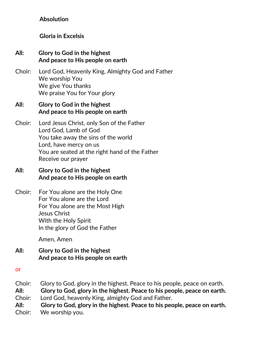#### **Absolution**

#### **Gloria in Excelsis**

#### **All: Glory to God in the highest** **And peace to His people on earth**

Choir: Lord God, Heavenly King, Almighty God and Father We worship You We give You thanks We praise You for Your glory

#### **All: Glory to God in the highest** **And peace to His people on earth**

Choir: Lord Jesus Christ, only Son of the Father Lord God, Lamb of God You take away the sins of the world Lord, have mercy on us You are seated at the right hand of the Father Receive our prayer

#### **All: Glory to God in the highest** **And peace to His people on earth**

Choir: For You alone are the Holy One For You alone are the Lord For You alone are the Most High Jesus Christ With the Holy Spirit In the glory of God the Father

Amen, Amen

**All: Glory to God in the highest** **And peace to His people on earth**

or

Choir: Glory to God, glory in the highest. Peace to his people, peace on earth. **All: Glory to God, glory in the highest. Peace to his people, peace on earth.** Choir: Lord God, heavenly King, almighty God and Father.

- 
- **All: Glory to God, glory in the highest. Peace to his people, peace on earth.** Choir: We worship you.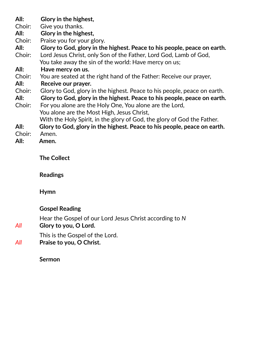| All:   | Glory in the highest,                                                    |
|--------|--------------------------------------------------------------------------|
| Choir: | Give you thanks.                                                         |
| All:   | Glory in the highest,                                                    |
| Choir: | Praise you for your glory.                                               |
| All:   | Glory to God, glory in the highest. Peace to his people, peace on earth. |
| Choir: | Lord Jesus Christ, only Son of the Father, Lord God, Lamb of God,        |
|        | You take away the sin of the world: Have mercy on us;                    |
| All:   | Have mercy on us.                                                        |
| Choir: | You are seated at the right hand of the Father: Receive our prayer,      |
| All:   | Receive our prayer.                                                      |
| Choir: | Glory to God, glory in the highest. Peace to his people, peace on earth. |
| All:   | Glory to God, glory in the highest. Peace to his people, peace on earth. |
| Choir: | For you alone are the Holy One, You alone are the Lord,                  |
|        | You alone are the Most High, Jesus Christ,                               |
|        | With the Holy Spirit, in the glory of God, the glory of God the Father.  |
| All:   | Glory to God, glory in the highest. Peace to his people, peace on earth. |
| Choir: | Amen.                                                                    |
| All:   | Amen.                                                                    |

**The Collect**

**Readings**

**Hymn** 

#### **Gospel Reading**

Hear the Gospel of our Lord Jesus Christ according to *N All* **Glory to you, O Lord.**

This is the Gospel of the Lord. *All* **Praise to you, O Christ.**

**Sermon**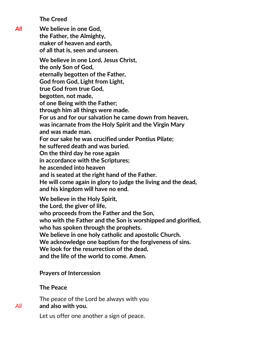**The Creed**

*All* **We believe in one God, the Father, the Almighty, maker of heaven and earth, of all that is, seen and unseen.** 

> **We believe in one Lord, Jesus Christ, the only Son of God, eternally begotten of the Father, God from God, Light from Light, true God from true God, begotten, not made, of one Being with the Father; through him all things were made. For us and for our salvation he came down from heaven, was incarnate from the Holy Spirit and the Virgin Mary and was made man. For our sake he was crucified under Pontius Pilate;**

**he suffered death and was buried.**

**On the third day he rose again**

**in accordance with the Scriptures;**

**he ascended into heaven**

**and is seated at the right hand of the Father.**

**He will come again in glory to judge the living and the dead, and his kingdom will have no end.** 

**We believe in the Holy Spirit,**

**the Lord, the giver of life,**

**who proceeds from the Father and the Son,**

**who with the Father and the Son is worshipped and glorified,**

**who has spoken through the prophets.**

**We believe in one holy catholic and apostolic Church.**

**We acknowledge one baptism for the forgiveness of sins.**

**We look for the resurrection of the dead,**

**and the life of the world to come. Amen.** 

#### **Prayers of Intercession**

#### **The Peace**

The peace of the Lord be always with you *All* **and also with you.**

Let us offer one another a sign of peace.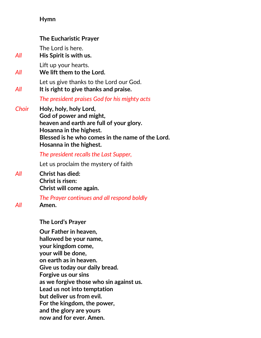#### **Hymn**

|       | <b>The Eucharistic Prayer</b>                                                                                                                                                                                                                                                                                                                   |
|-------|-------------------------------------------------------------------------------------------------------------------------------------------------------------------------------------------------------------------------------------------------------------------------------------------------------------------------------------------------|
| All   | The Lord is here.<br>His Spirit is with us.                                                                                                                                                                                                                                                                                                     |
| All   | Lift up your hearts.<br>We lift them to the Lord.                                                                                                                                                                                                                                                                                               |
| All   | Let us give thanks to the Lord our God.<br>It is right to give thanks and praise.                                                                                                                                                                                                                                                               |
|       | The president praises God for his mighty acts                                                                                                                                                                                                                                                                                                   |
| Choir | Holy, holy, holy Lord,<br>God of power and might,<br>heaven and earth are full of your glory.<br>Hosanna in the highest.<br>Blessed is he who comes in the name of the Lord.<br>Hosanna in the highest.                                                                                                                                         |
|       | The president recalls the Last Supper,                                                                                                                                                                                                                                                                                                          |
|       | Let us proclaim the mystery of faith                                                                                                                                                                                                                                                                                                            |
| All   | <b>Christ has died:</b><br>Christ is risen:<br>Christ will come again.                                                                                                                                                                                                                                                                          |
| All   | The Prayer continues and all respond boldly<br>Amen.                                                                                                                                                                                                                                                                                            |
|       | <b>The Lord's Prayer</b>                                                                                                                                                                                                                                                                                                                        |
|       | Our Father in heaven,<br>hallowed be your name,<br>your kingdom come,<br>your will be done,<br>on earth as in heaven.<br>Give us today our daily bread.<br>Forgive us our sins<br>as we forgive those who sin against us.<br>Lead us not into temptation<br>but deliver us from evil.<br>For the kingdom, the power,<br>and the glory are yours |

**now and for ever. Amen.**